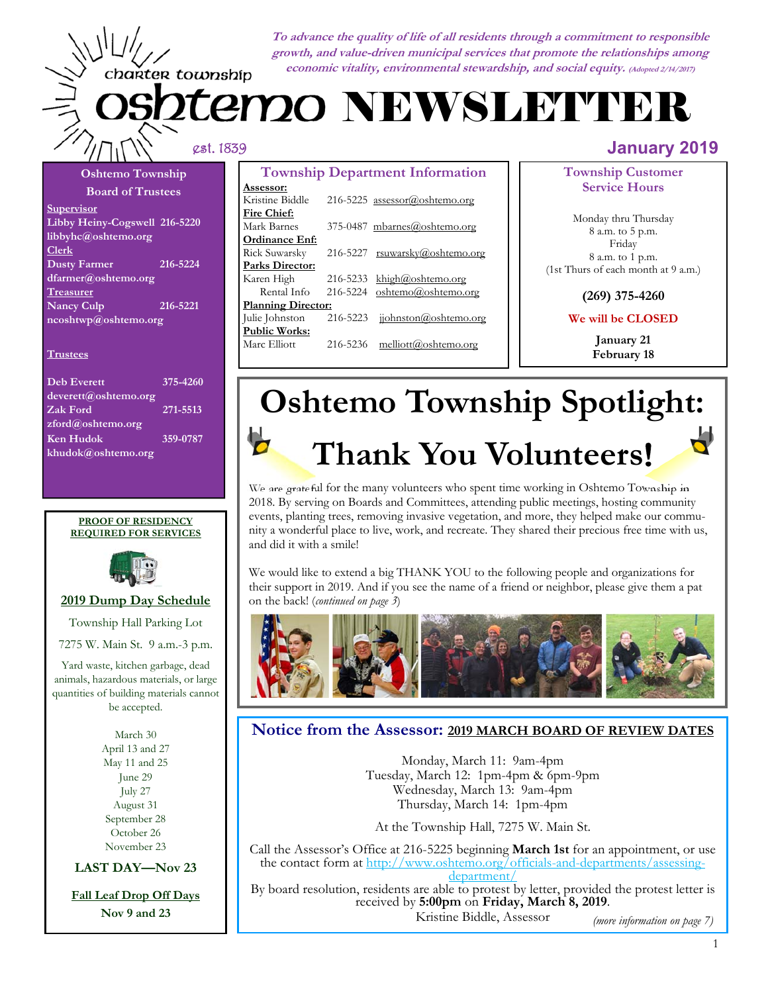**To advance the quality of life of all residents through a commitment to responsible growth, and value-driven municipal services that promote the relationships among economic vitality, environmental stewardship, and social equity. (Adopted 2/14/2017)**

# 2tem20 NEWSLETTER

charter township

#### **Board of Trustees Supervisor Libby Heiny-Cogswell 216-5220 libbyhc@oshtemo.org Clerk Dusty Farmer 216-5224 dfarmer@oshtemo.org Treasurer Nancy Culp 216-5221 ncoshtwp@oshtemo.org**

**Oshtemo Township** 

#### **Trustees**

| <b>Deb Everett</b>   | 375-4260 |
|----------------------|----------|
| deverett@oshtemo.org |          |
| Zak Ford             | 271-5513 |
| zford@oshtemo.org    |          |
| <b>Ken Hudok</b>     | 359-0787 |
| khudok@oshtemo.org   |          |

#### **PROOF OF RESIDENCY REQUIRED FOR SERVICES**



### **2019 Dump Day Schedule**

Township Hall Parking Lot

7275 W. Main St. 9 a.m.-3 p.m.

Yard waste, kitchen garbage, dead animals, hazardous materials, or large quantities of building materials cannot be accepted.

> March 30 April 13 and 27 May 11 and 25 June 29 July 27 August 31 September 28 October 26 November 23

**LAST DAY—Nov 23** 

**Fall Leaf Drop Off Days** 

**Nov 9 and 23** 

| <b>Township Department Information</b> |          |                                |  |
|----------------------------------------|----------|--------------------------------|--|
| <u>Assessor:</u>                       |          |                                |  |
| Kristine Biddle                        |          | 216-5225 assessor@oshtemo.org  |  |
| Fire Chief:                            |          |                                |  |
| Mark Barnes                            |          | 375-0487 mbarnes@oshtemo.org   |  |
| Ordinance Enf:                         |          |                                |  |
| Rick Suwarsky                          |          | 216-5227 rsuwarsky@oshtemo.org |  |
| Parks Director:                        |          |                                |  |
| Karen High                             | 216-5233 | khigh@oshtemo.org              |  |
| Rental Info                            | 216-5224 | oshtemo@oshtemo.org            |  |
| <b>Planning Director:</b>              |          |                                |  |
| Julie Johnston                         | 216-5223 | jiohnston@oshtemo.org          |  |
| <b>Public Works:</b>                   |          |                                |  |
| Marc Elliott                           | 216-5236 | melliott@oshtemo.org           |  |
|                                        |          |                                |  |

### est. 1839 **January 2019**

**Township Customer Service Hours** 

Monday thru Thursday 8 a.m. to 5 p.m. Friday 8 a.m. to 1 p.m. (1st Thurs of each month at 9 a.m.)

**(269) 375-4260** 

**We will be CLOSED** 

**January 21 February 18** 

# **Oshtemo Township Spotlight: Thank You Volunteers!**

We are grateful for the many volunteers who spent time working in Oshtemo Township in 2018. By serving on Boards and Committees, attending public meetings, hosting community events, planting trees, removing invasive vegetation, and more, they helped make our community a wonderful place to live, work, and recreate. They shared their precious free time with us, and did it with a smile!

We would like to extend a big THANK YOU to the following people and organizations for their support in 2019. And if you see the name of a friend or neighbor, please give them a pat on the back! (*continued on page 3*)



### **Notice from the Assessor: 2019 MARCH BOARD OF REVIEW DATES**

Monday, March 11: 9am-4pm Tuesday, March 12: 1pm-4pm & 6pm-9pm Wednesday, March 13: 9am-4pm Thursday, March 14: 1pm-4pm

At the Township Hall, 7275 W. Main St.

Call the Assessor's Office at 216-5225 beginning **March 1st** for an appointment, or use the contact form at http://www.oshtemo.org/officials-and-departments/assessingdepartment/

By board resolution, residents are able to protest by letter, provided the protest letter is received by **5:00pm** on **Friday, March 8, 2019**. Kristine Biddle, Assessor

*(more information on page 7)*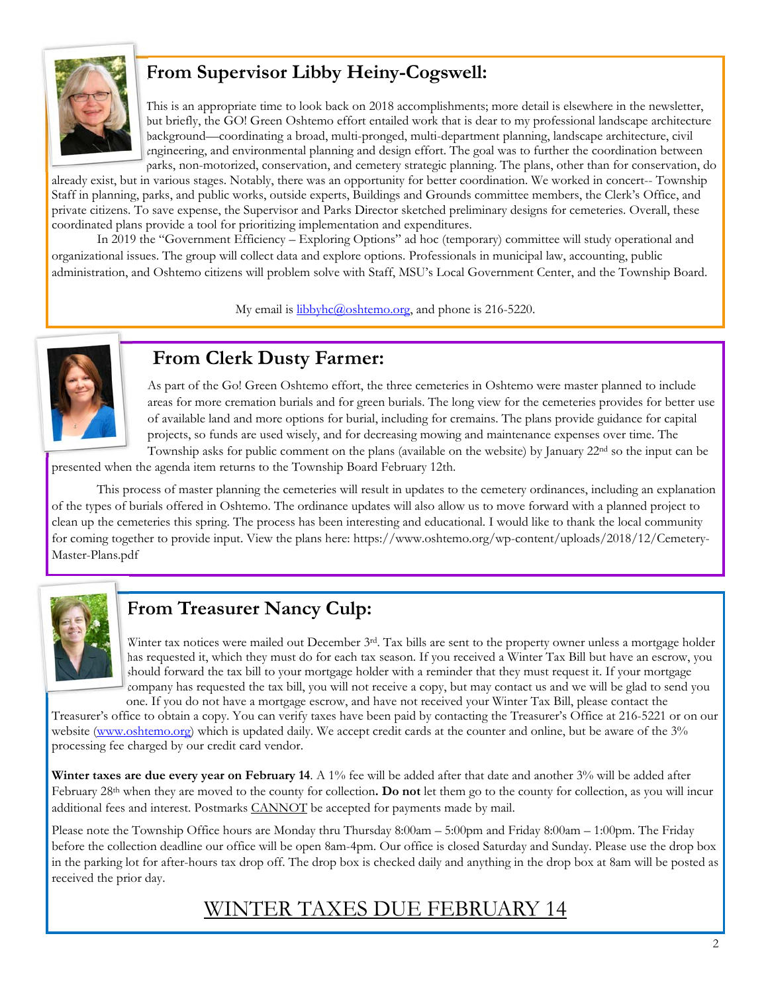

### **From Supervisor Libby Heiny-Cogswell:**

This is an appropriate time to look back on 2018 accomplishments; more detail is elsewhere in the newsletter, but briefly, the GO! Green Oshtemo effort entailed work that is dear to my professional landscape architecture background—coordinating a broad, multi-pronged, multi-department planning, landscape architecture, civil engineering, and environmental planning and design effort. The goal was to further the coordination between parks, non-motorized, conservation, and cemetery strategic planning. The plans, other than for conservation, do

already exist, but in various stages. Notably, there was an opportunity for better coordination. We worked in concert-- Township Staff in planning, parks, and public works, outside experts, Buildings and Grounds committee members, the Clerk's Office, and private citizens. To save expense, the Supervisor and Parks Director sketched preliminary designs for cemeteries. Overall, these coordinated plans provide a tool for prioritizing implementation and expenditures.

 In 2019 the "Government Efficiency – Exploring Options" ad hoc (temporary) committee will study operational and organizational issues. The group will collect data and explore options. Professionals in municipal law, accounting, public administration, and Oshtemo citizens will problem solve with Staff, MSU's Local Government Center, and the Township Board.

My email is **libbyhc**@oshtemo.org, and phone is 216-5220.



### **From Clerk Dusty Farmer:**

As part of the Go! Green Oshtemo effort, the three cemeteries in Oshtemo were master planned to include areas for more cremation burials and for green burials. The long view for the cemeteries provides for better use of available land and more options for burial, including for cremains. The plans provide guidance for capital projects, so funds are used wisely, and for decreasing mowing and maintenance expenses over time. The Township asks for public comment on the plans (available on the website) by January 22nd so the input can be

presented when the agenda item returns to the Township Board February 12th.

 This process of master planning the cemeteries will result in updates to the cemetery ordinances, including an explanation of the types of burials offered in Oshtemo. The ordinance updates will also allow us to move forward with a planned project to clean up the cemeteries this spring. The process has been interesting and educational. I would like to thank the local community for coming together to provide input. View the plans here: https://www.oshtemo.org/wp-content/uploads/2018/12/Cemetery-Master-Plans.pdf



## **From Treasurer Nancy Culp:**

Winter tax notices were mailed out December  $3^{rd}$ . Tax bills are sent to the property owner unless a mortgage holder has requested it, which they must do for each tax season. If you received a Winter Tax Bill but have an escrow, you should forward the tax bill to your mortgage holder with a reminder that they must request it. If your mortgage company has requested the tax bill, you will not receive a copy, but may contact us and we will be glad to send you

one. If you do not have a mortgage escrow, and have not received your Winter Tax Bill, please contact the Treasurer's office to obtain a copy. You can verify taxes have been paid by contacting the Treasurer's Office at 216-5221 or on our website (www.oshtemo.org) which is updated daily. We accept credit cards at the counter and online, but be aware of the 3% processing fee charged by our credit card vendor.

**Winter taxes are due every year on February 14**. A 1% fee will be added after that date and another 3% will be added after February 28th when they are moved to the county for collection**. Do not** let them go to the county for collection, as you will incur additional fees and interest. Postmarks CANNOT be accepted for payments made by mail.

Please note the Township Office hours are Monday thru Thursday 8:00am – 5:00pm and Friday 8:00am – 1:00pm. The Friday before the collection deadline our office will be open 8am-4pm. Our office is closed Saturday and Sunday. Please use the drop box in the parking lot for after-hours tax drop off. The drop box is checked daily and anything in the drop box at 8am will be posted as received the prior day.

### WINTER TAXES DUE FEBRUARY 14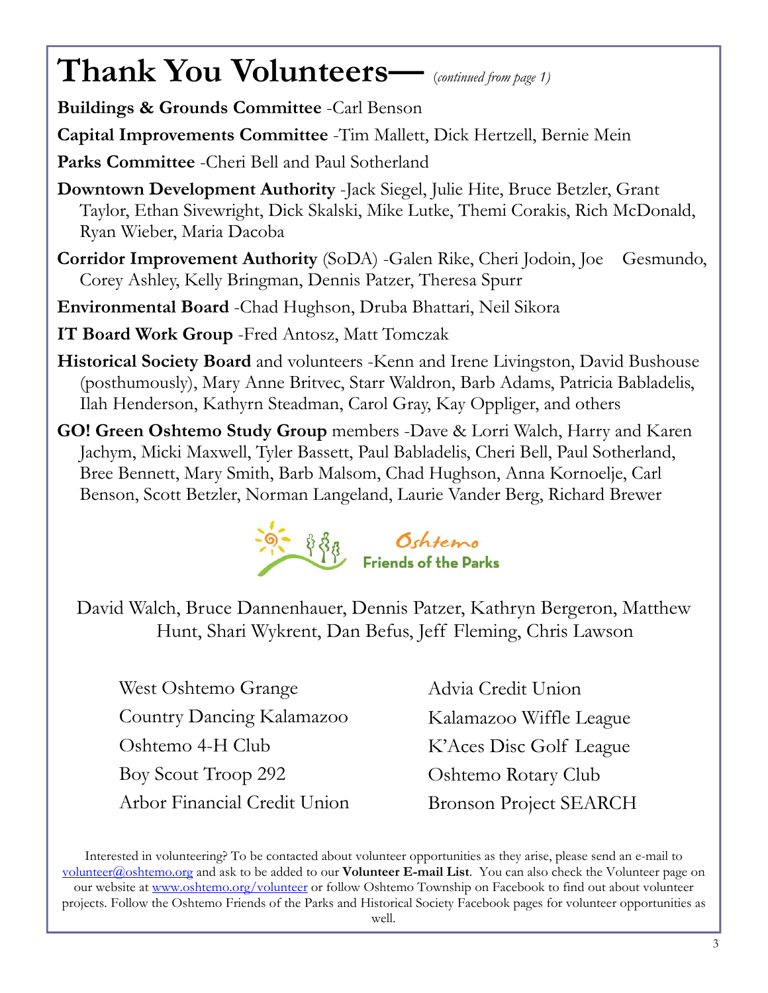# **Thank You Volunteers—** (*continued from page 1)*

**Buildings & Grounds Committee** -Carl Benson

**Capital Improvements Committee** -Tim Mallett, Dick Hertzell, Bernie Mein

**Parks Committee** -Cheri Bell and Paul Sotherland

- **Downtown Development Authority** -Jack Siegel, Julie Hite, Bruce Betzler, Grant Taylor, Ethan Sivewright, Dick Skalski, Mike Lutke, Themi Corakis, Rich McDonald, Ryan Wieber, Maria Dacoba
- **Corridor Improvement Authority** (SoDA) -Galen Rike, Cheri Jodoin, Joe Gesmundo, Corey Ashley, Kelly Bringman, Dennis Patzer, Theresa Spurr
- **Environmental Board** -Chad Hughson, Druba Bhattari, Neil Sikora

**IT Board Work Group** -Fred Antosz, Matt Tomczak

- **Historical Society Board** and volunteers -Kenn and Irene Livingston, David Bushouse (posthumously), Mary Anne Britvec, Starr Waldron, Barb Adams, Patricia Babladelis, Ilah Henderson, Kathyrn Steadman, Carol Gray, Kay Oppliger, and others
- **GO! Green Oshtemo Study Group** members -Dave & Lorri Walch, Harry and Karen Jachym, Micki Maxwell, Tyler Bassett, Paul Babladelis, Cheri Bell, Paul Sotherland, Bree Bennett, Mary Smith, Barb Malsom, Chad Hughson, Anna Kornoelje, Carl Benson, Scott Betzler, Norman Langeland, Laurie Vander Berg, Richard Brewer



David Walch, Bruce Dannenhauer, Dennis Patzer, Kathryn Bergeron, Matthew Hunt, Shari Wykrent, Dan Befus, Jeff Fleming, Chris Lawson

West Oshtemo Grange Country Dancing Kalamazoo Oshtemo 4-H Club Boy Scout Troop 292 Arbor Financial Credit Union Advia Credit Union Kalamazoo Wiffle League K'Aces Disc Golf League Oshtemo Rotary Club Bronson Project SEARCH

Interested in volunteering? To be contacted about volunteer opportunities as they arise, please send an e-mail to volunteer@oshtemo.org and ask to be added to our **Volunteer E-mail List**. You can also check the Volunteer page on our website at www.oshtemo.org/volunteer or follow Oshtemo Township on Facebook to find out about volunteer projects. Follow the Oshtemo Friends of the Parks and Historical Society Facebook pages for volunteer opportunities as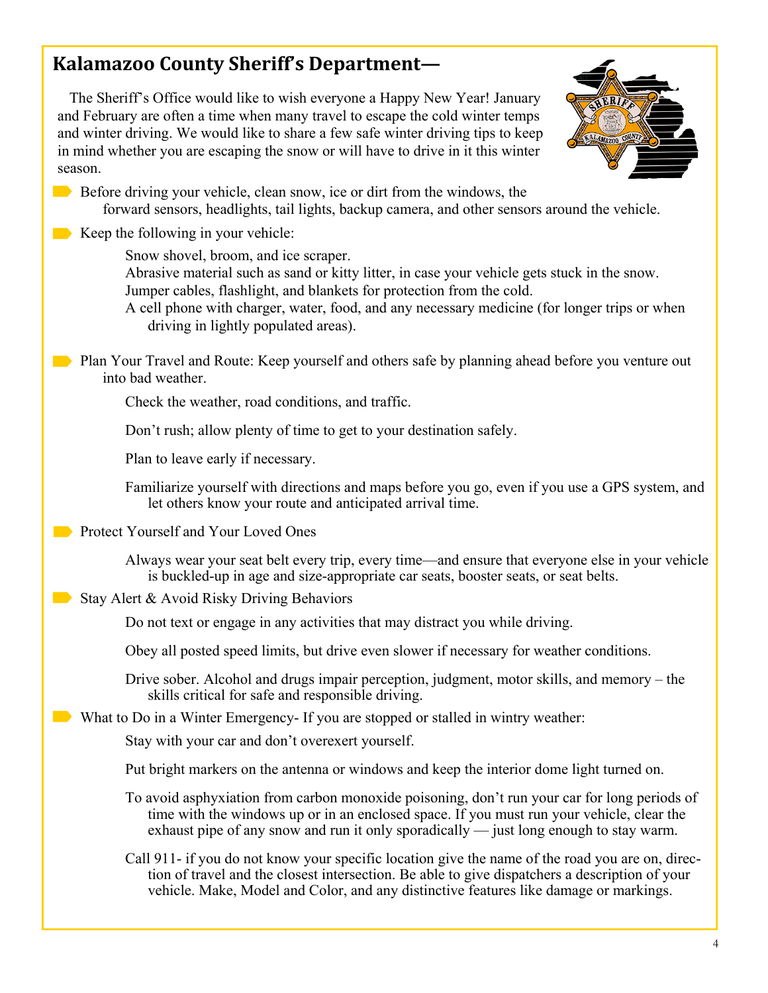# **Kalamazoo County Sheriff's Department—**

The Sheriff's Office would like to wish everyone a Happy New Year! January and February are often a time when many travel to escape the cold winter temps and winter driving. We would like to share a few safe winter driving tips to keep in mind whether you are escaping the snow or will have to drive in it this winter season.



Before driving your vehicle, clean snow, ice or dirt from the windows, the forward sensors, headlights, tail lights, backup camera, and other sensors around the vehicle.

 $\blacksquare$  Keep the following in your vehicle:

Snow shovel, broom, and ice scraper.

Abrasive material such as sand or kitty litter, in case your vehicle gets stuck in the snow. Jumper cables, flashlight, and blankets for protection from the cold.

A cell phone with charger, water, food, and any necessary medicine (for longer trips or when driving in lightly populated areas).

**Plan Your Travel and Route: Keep yourself and others safe by planning ahead before you venture out** into bad weather.

Check the weather, road conditions, and traffic.

Don't rush; allow plenty of time to get to your destination safely.

Plan to leave early if necessary.

Familiarize yourself with directions and maps before you go, even if you use a GPS system, and let others know your route and anticipated arrival time.

**Protect Yourself and Your Loved Ones** 

Always wear your seat belt every trip, every time—and ensure that everyone else in your vehicle is buckled-up in age and size-appropriate car seats, booster seats, or seat belts.

Stay Alert & Avoid Risky Driving Behaviors

Do not text or engage in any activities that may distract you while driving.

Obey all posted speed limits, but drive even slower if necessary for weather conditions.

Drive sober. Alcohol and drugs impair perception, judgment, motor skills, and memory – the skills critical for safe and responsible driving.

What to Do in a Winter Emergency- If you are stopped or stalled in wintry weather:

Stay with your car and don't overexert yourself.

Put bright markers on the antenna or windows and keep the interior dome light turned on.

To avoid asphyxiation from carbon monoxide poisoning, don't run your car for long periods of time with the windows up or in an enclosed space. If you must run your vehicle, clear the exhaust pipe of any snow and run it only sporadically — just long enough to stay warm.

Call 911- if you do not know your specific location give the name of the road you are on, direction of travel and the closest intersection. Be able to give dispatchers a description of your vehicle. Make, Model and Color, and any distinctive features like damage or markings.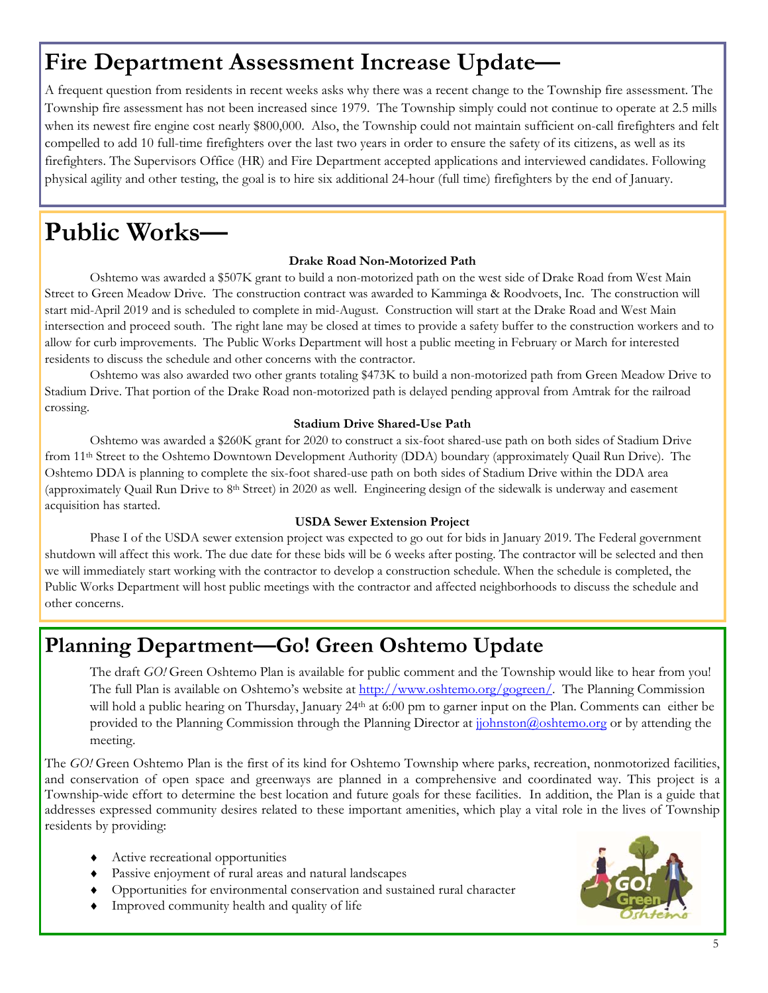# **Fire Department Assessment Increase Update—**

A frequent question from residents in recent weeks asks why there was a recent change to the Township fire assessment. The Township fire assessment has not been increased since 1979. The Township simply could not continue to operate at 2.5 mills when its newest fire engine cost nearly \$800,000. Also, the Township could not maintain sufficient on-call firefighters and felt compelled to add 10 full-time firefighters over the last two years in order to ensure the safety of its citizens, as well as its firefighters. The Supervisors Office (HR) and Fire Department accepted applications and interviewed candidates. Following physical agility and other testing, the goal is to hire six additional 24-hour (full time) firefighters by the end of January.

# **Public Works—**

### **Drake Road Non-Motorized Path**

 Oshtemo was awarded a \$507K grant to build a non-motorized path on the west side of Drake Road from West Main Street to Green Meadow Drive. The construction contract was awarded to Kamminga & Roodvoets, Inc. The construction will start mid-April 2019 and is scheduled to complete in mid-August. Construction will start at the Drake Road and West Main intersection and proceed south. The right lane may be closed at times to provide a safety buffer to the construction workers and to allow for curb improvements. The Public Works Department will host a public meeting in February or March for interested residents to discuss the schedule and other concerns with the contractor.

 Oshtemo was also awarded two other grants totaling \$473K to build a non-motorized path from Green Meadow Drive to Stadium Drive. That portion of the Drake Road non-motorized path is delayed pending approval from Amtrak for the railroad crossing.

### **Stadium Drive Shared-Use Path**

 Oshtemo was awarded a \$260K grant for 2020 to construct a six-foot shared-use path on both sides of Stadium Drive from 11th Street to the Oshtemo Downtown Development Authority (DDA) boundary (approximately Quail Run Drive). The Oshtemo DDA is planning to complete the six-foot shared-use path on both sides of Stadium Drive within the DDA area (approximately Quail Run Drive to  $8<sup>th</sup>$  Street) in 2020 as well. Engineering design of the sidewalk is underway and easement acquisition has started.

### **USDA Sewer Extension Project**

 Phase I of the USDA sewer extension project was expected to go out for bids in January 2019. The Federal government shutdown will affect this work. The due date for these bids will be 6 weeks after posting. The contractor will be selected and then we will immediately start working with the contractor to develop a construction schedule. When the schedule is completed, the Public Works Department will host public meetings with the contractor and affected neighborhoods to discuss the schedule and other concerns.

# **Planning Department—Go! Green Oshtemo Update**

The draft *GO!* Green Oshtemo Plan is available for public comment and the Township would like to hear from you! The full Plan is available on Oshtemo's website at http://www.oshtemo.org/gogreen/. The Planning Commission will hold a public hearing on Thursday, January 24<sup>th</sup> at 6:00 pm to garner input on the Plan. Comments can either be provided to the Planning Commission through the Planning Director at johnston@oshtemo.org or by attending the meeting.

The *GO!* Green Oshtemo Plan is the first of its kind for Oshtemo Township where parks, recreation, nonmotorized facilities, and conservation of open space and greenways are planned in a comprehensive and coordinated way. This project is a Township-wide effort to determine the best location and future goals for these facilities. In addition, the Plan is a guide that addresses expressed community desires related to these important amenities, which play a vital role in the lives of Township residents by providing:

- Active recreational opportunities
- Passive enjoyment of rural areas and natural landscapes
- Opportunities for environmental conservation and sustained rural character
- Improved community health and quality of life

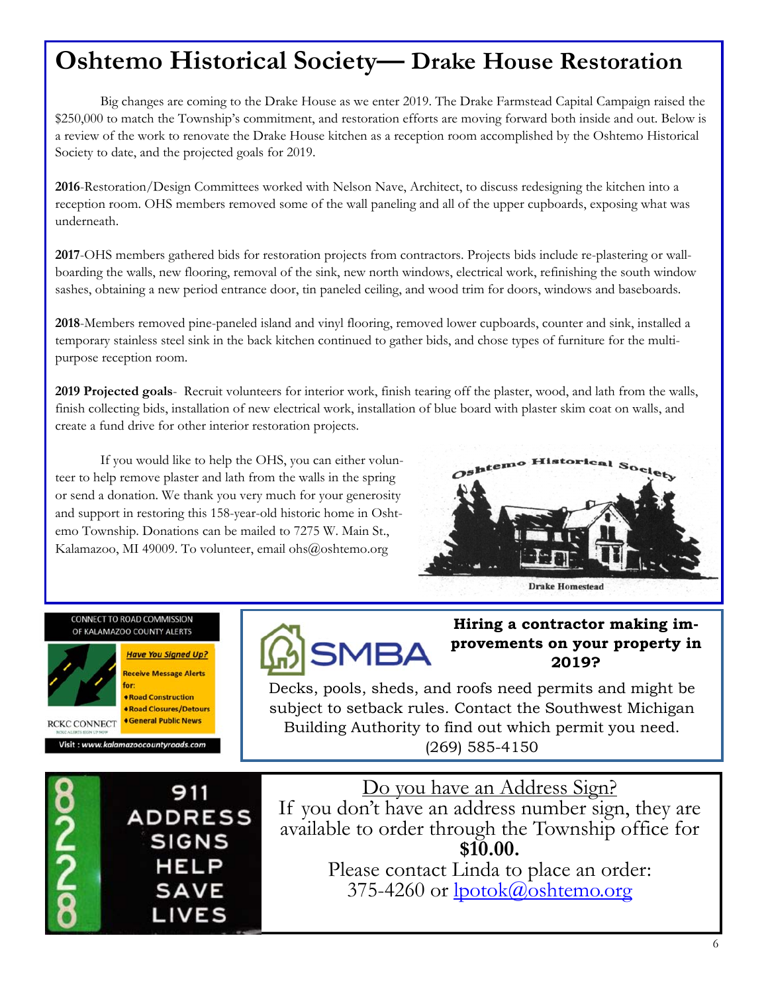# **Oshtemo Historical Society— Drake House Restoration**

 Big changes are coming to the Drake House as we enter 2019. The Drake Farmstead Capital Campaign raised the \$250,000 to match the Township's commitment, and restoration efforts are moving forward both inside and out. Below is a review of the work to renovate the Drake House kitchen as a reception room accomplished by the Oshtemo Historical Society to date, and the projected goals for 2019.

**2016**-Restoration/Design Committees worked with Nelson Nave, Architect, to discuss redesigning the kitchen into a reception room. OHS members removed some of the wall paneling and all of the upper cupboards, exposing what was underneath.

**2017**-OHS members gathered bids for restoration projects from contractors. Projects bids include re-plastering or wallboarding the walls, new flooring, removal of the sink, new north windows, electrical work, refinishing the south window sashes, obtaining a new period entrance door, tin paneled ceiling, and wood trim for doors, windows and baseboards.

**2018**-Members removed pine-paneled island and vinyl flooring, removed lower cupboards, counter and sink, installed a temporary stainless steel sink in the back kitchen continued to gather bids, and chose types of furniture for the multipurpose reception room.

**2019 Projected goals**- Recruit volunteers for interior work, finish tearing off the plaster, wood, and lath from the walls, finish collecting bids, installation of new electrical work, installation of blue board with plaster skim coat on walls, and create a fund drive for other interior restoration projects.

 If you would like to help the OHS, you can either volunteer to help remove plaster and lath from the walls in the spring or send a donation. We thank you very much for your generosity and support in restoring this 158-year-old historic home in Oshtemo Township. Donations can be mailed to 7275 W. Main St., Kalamazoo, MI 49009. To volunteer, email ohs@oshtemo.org



#### **CONNECT TO ROAD COMMISSION** OF KALAMAZOO COUNTY ALERTS



**Have You Signed Up? Receive Message Alerts** for: **\*Road Construction** 

**\*Road Closures/Detours Ceneral Public News RCKC CONNECT** 

Visit : www.kalamazoocountyroads.con



### **Hiring a contractor making improvements on your property in 2019?**

Decks, pools, sheds, and roofs need permits and might be subject to setback rules. Contact the Southwest Michigan Building Authority to find out which permit you need. (269) 585-4150



Do you have an Address Sign? If you don't have an address number sign, they are available to order through the Township office for **\$10.00.** 

Please contact Linda to place an order: 375-4260 or lpotok@oshtemo.org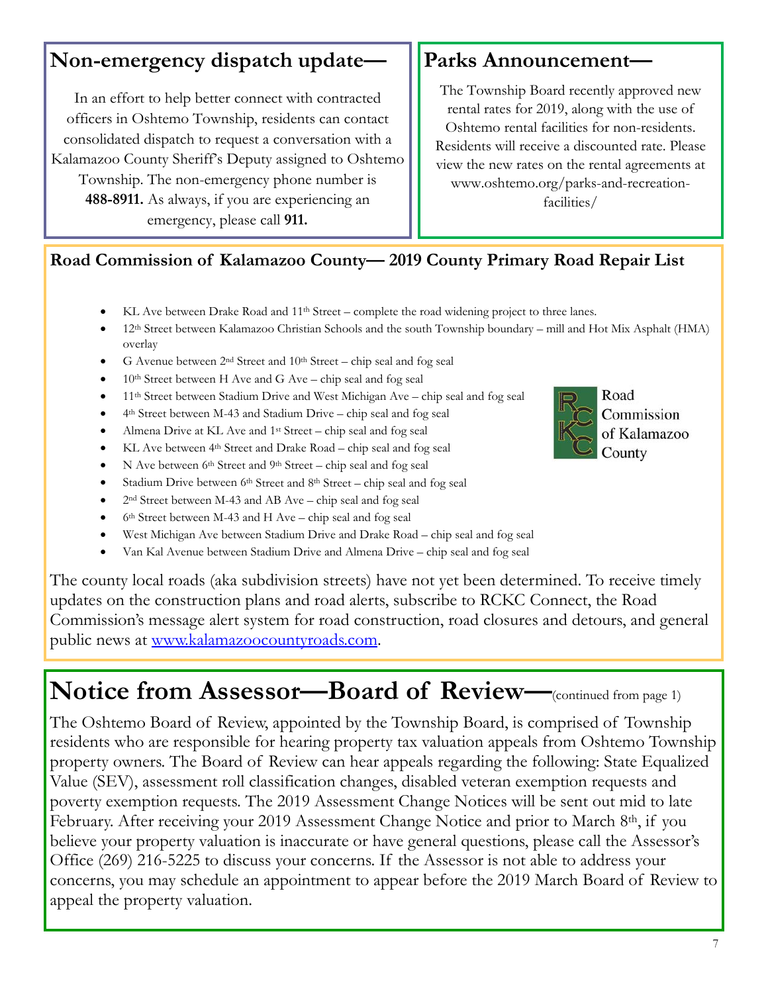# **Non-emergency dispatch update—**

In an effort to help better connect with contracted officers in Oshtemo Township, residents can contact consolidated dispatch to request a conversation with a Kalamazoo County Sheriff's Deputy assigned to Oshtemo Township. The non-emergency phone number is **488-8911.** As always, if you are experiencing an emergency, please call **911.**

# **Parks Announcement—**

The Township Board recently approved new rental rates for 2019, along with the use of Oshtemo rental facilities for non-residents. Residents will receive a discounted rate. Please view the new rates on the rental agreements at www.oshtemo.org/parks-and-recreationfacilities/

## **Road Commission of Kalamazoo County— 2019 County Primary Road Repair List**

- KL Ave between Drake Road and  $11<sup>th</sup> Street complete the road widening project to three lanes.$
- 12th Street between Kalamazoo Christian Schools and the south Township boundary mill and Hot Mix Asphalt (HMA) overlay
- G Avenue between  $2<sup>nd</sup>$  Street and  $10<sup>th</sup>$  Street chip seal and fog seal
- 10th Street between H Ave and G Ave chip seal and fog seal
- 11th Street between Stadium Drive and West Michigan Ave chip seal and fog seal
- 4th Street between M-43 and Stadium Drive chip seal and fog seal
- Almena Drive at KL Ave and  $1^{st}$  Street chip seal and fog seal
- KL Ave between 4<sup>th</sup> Street and Drake Road chip seal and fog seal
- $\bullet$  N Ave between 6<sup>th</sup> Street and 9<sup>th</sup> Street chip seal and fog seal
- Stadium Drive between 6<sup>th</sup> Street and 8<sup>th</sup> Street chip seal and fog seal
- 2nd Street between M-43 and AB Ave chip seal and fog seal
- 6th Street between M-43 and H Ave chip seal and fog seal
- West Michigan Ave between Stadium Drive and Drake Road chip seal and fog seal
- Van Kal Avenue between Stadium Drive and Almena Drive chip seal and fog seal

The county local roads (aka subdivision streets) have not yet been determined. To receive timely updates on the construction plans and road alerts, subscribe to RCKC Connect, the Road Commission's message alert system for road construction, road closures and detours, and general public news at www.kalamazoocountyroads.com.

# **Notice from Assessor—Board of Review—**(continued from page 1)

The Oshtemo Board of Review, appointed by the Township Board, is comprised of Township residents who are responsible for hearing property tax valuation appeals from Oshtemo Township property owners. The Board of Review can hear appeals regarding the following: State Equalized Value (SEV), assessment roll classification changes, disabled veteran exemption requests and poverty exemption requests. The 2019 Assessment Change Notices will be sent out mid to late February. After receiving your 2019 Assessment Change Notice and prior to March 8<sup>th</sup>, if you believe your property valuation is inaccurate or have general questions, please call the Assessor's Office (269) 216-5225 to discuss your concerns. If the Assessor is not able to address your concerns, you may schedule an appointment to appear before the 2019 March Board of Review to appeal the property valuation.



Road Commission of Kalamazoo County